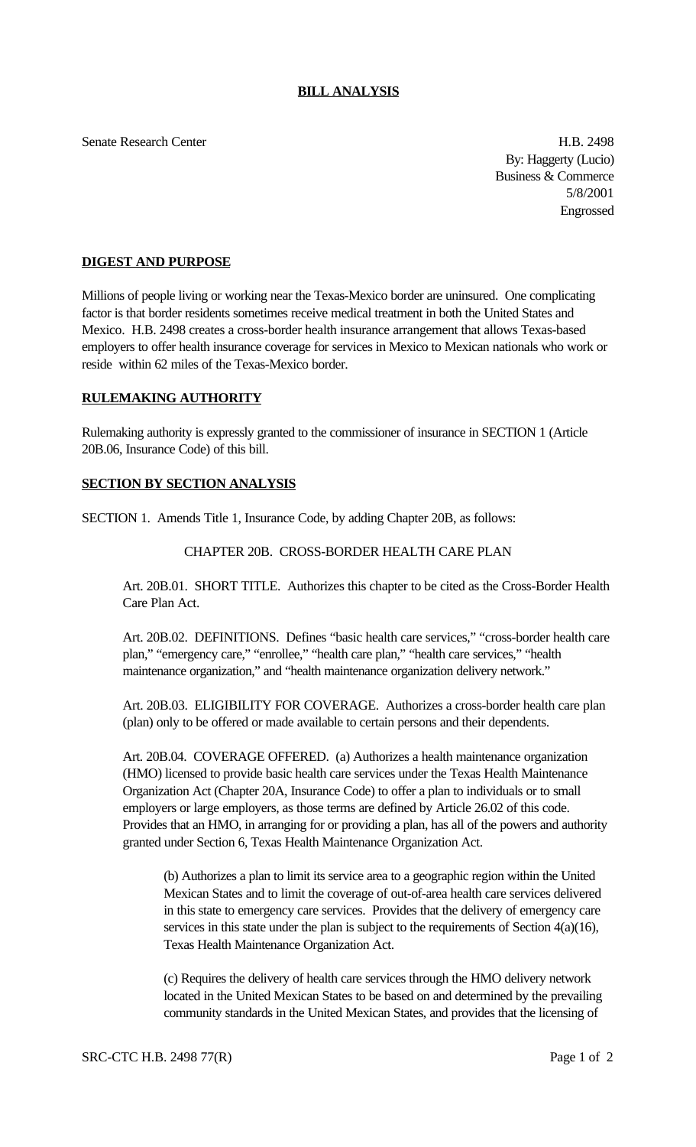Senate Research Center **H.B. 2498** 

By: Haggerty (Lucio) Business & Commerce 5/8/2001 Engrossed

## **DIGEST AND PURPOSE**

Millions of people living or working near the Texas-Mexico border are uninsured. One complicating factor is that border residents sometimes receive medical treatment in both the United States and Mexico. H.B. 2498 creates a cross-border health insurance arrangement that allows Texas-based employers to offer health insurance coverage for services in Mexico to Mexican nationals who work or reside within 62 miles of the Texas-Mexico border.

## **RULEMAKING AUTHORITY**

Rulemaking authority is expressly granted to the commissioner of insurance in SECTION 1 (Article 20B.06, Insurance Code) of this bill.

## **SECTION BY SECTION ANALYSIS**

SECTION 1. Amends Title 1, Insurance Code, by adding Chapter 20B, as follows:

## CHAPTER 20B. CROSS-BORDER HEALTH CARE PLAN

Art. 20B.01. SHORT TITLE. Authorizes this chapter to be cited as the Cross-Border Health Care Plan Act.

Art. 20B.02. DEFINITIONS. Defines "basic health care services," "cross-border health care plan," "emergency care," "enrollee," "health care plan," "health care services," "health maintenance organization," and "health maintenance organization delivery network."

Art. 20B.03. ELIGIBILITY FOR COVERAGE. Authorizes a cross-border health care plan (plan) only to be offered or made available to certain persons and their dependents.

Art. 20B.04. COVERAGE OFFERED. (a) Authorizes a health maintenance organization (HMO) licensed to provide basic health care services under the Texas Health Maintenance Organization Act (Chapter 20A, Insurance Code) to offer a plan to individuals or to small employers or large employers, as those terms are defined by Article 26.02 of this code. Provides that an HMO, in arranging for or providing a plan, has all of the powers and authority granted under Section 6, Texas Health Maintenance Organization Act.

(b) Authorizes a plan to limit its service area to a geographic region within the United Mexican States and to limit the coverage of out-of-area health care services delivered in this state to emergency care services. Provides that the delivery of emergency care services in this state under the plan is subject to the requirements of Section  $4(a)(16)$ , Texas Health Maintenance Organization Act.

(c) Requires the delivery of health care services through the HMO delivery network located in the United Mexican States to be based on and determined by the prevailing community standards in the United Mexican States, and provides that the licensing of